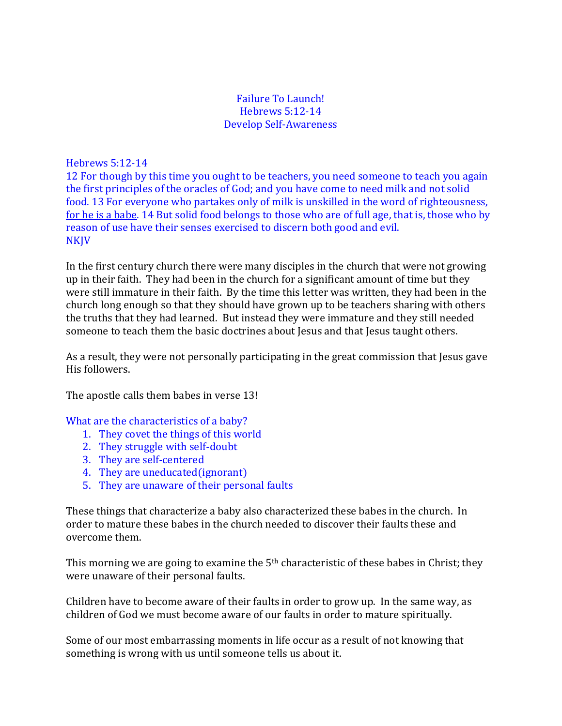## Failure To Launch! Hebrews 5:12-14 Develop Self-Awareness

Hebrews 5:12-14

12 For though by this time you ought to be teachers, you need someone to teach you again the first principles of the oracles of God; and you have come to need milk and not solid food. 13 For everyone who partakes only of milk is unskilled in the word of righteousness, for he is a babe. 14 But solid food belongs to those who are of full age, that is, those who by reason of use have their senses exercised to discern both good and evil. NKJV

In the first century church there were many disciples in the church that were not growing up in their faith. They had been in the church for a significant amount of time but they were still immature in their faith. By the time this letter was written, they had been in the church long enough so that they should have grown up to be teachers sharing with others the truths that they had learned. But instead they were immature and they still needed someone to teach them the basic doctrines about Jesus and that Jesus taught others.

As a result, they were not personally participating in the great commission that Jesus gave His followers.

The apostle calls them babes in verse 13!

What are the characteristics of a baby?

- 1. They covet the things of this world
- 2. They struggle with self-doubt
- 3. They are self-centered
- 4. They are uneducated(ignorant)
- 5. They are unaware of their personal faults

These things that characterize a baby also characterized these babes in the church. In order to mature these babes in the church needed to discover their faults these and overcome them.

This morning we are going to examine the 5<sup>th</sup> characteristic of these babes in Christ; they were unaware of their personal faults.

Children have to become aware of their faults in order to grow up. In the same way, as children of God we must become aware of our faults in order to mature spiritually.

Some of our most embarrassing moments in life occur as a result of not knowing that something is wrong with us until someone tells us about it.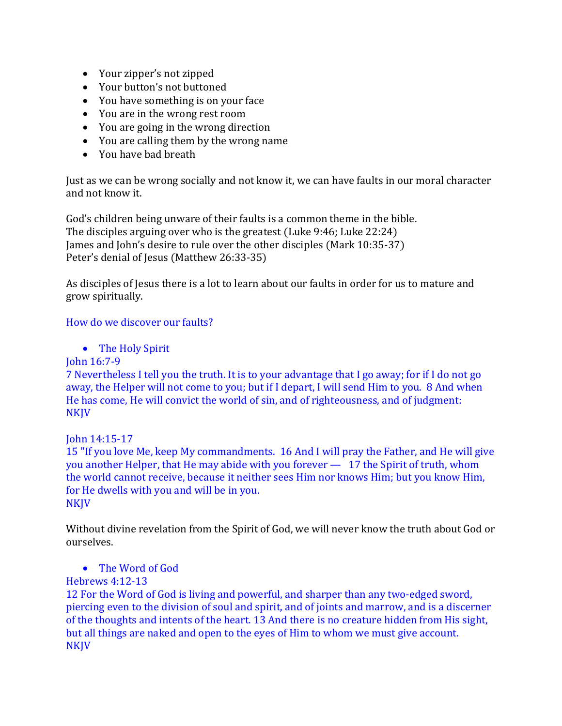- Your zipper's not zipped
- Your button's not buttoned
- You have something is on your face
- You are in the wrong rest room
- You are going in the wrong direction
- You are calling them by the wrong name
- You have bad breath

Just as we can be wrong socially and not know it, we can have faults in our moral character and not know it.

God's children being unware of their faults is a common theme in the bible. The disciples arguing over who is the greatest (Luke 9:46; Luke 22:24) James and John's desire to rule over the other disciples (Mark 10:35-37) Peter's denial of Jesus (Matthew 26:33-35)

As disciples of Jesus there is a lot to learn about our faults in order for us to mature and grow spiritually.

# How do we discover our faults?

• The Holy Spirit

# John 16:7-9

7 Nevertheless I tell you the truth. It is to your advantage that I go away; for if I do not go away, the Helper will not come to you; but if I depart, I will send Him to you. 8 And when He has come, He will convict the world of sin, and of righteousness, and of judgment: NKJV

# John 14:15-17

15 "If you love Me, keep My commandments. 16 And I will pray the Father, and He will give you another Helper, that He may abide with you forever — 17 the Spirit of truth, whom the world cannot receive, because it neither sees Him nor knows Him; but you know Him, for He dwells with you and will be in you. **NKJV** 

Without divine revelation from the Spirit of God, we will never know the truth about God or ourselves.

# The Word of God

# Hebrews 4:12-13

12 For the Word of God is living and powerful, and sharper than any two-edged sword, piercing even to the division of soul and spirit, and of joints and marrow, and is a discerner of the thoughts and intents of the heart. 13 And there is no creature hidden from His sight, but all things are naked and open to the eyes of Him to whom we must give account. NKJV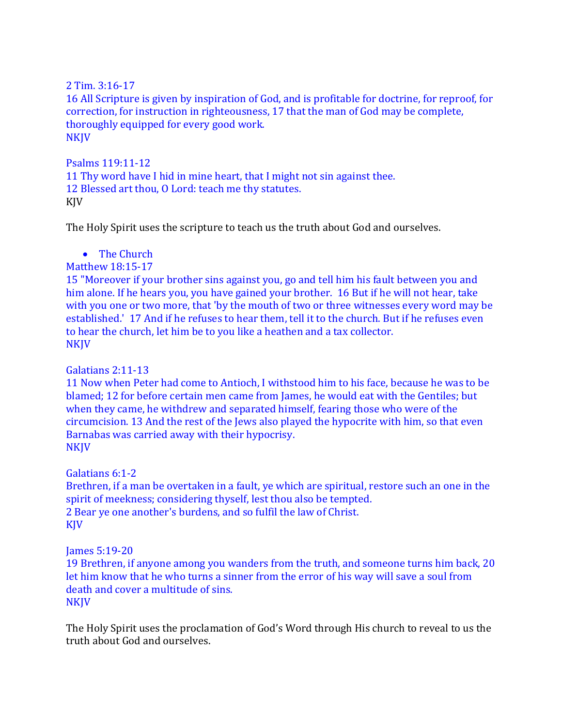2 Tim. 3:16-17 16 All Scripture is given by inspiration of God, and is profitable for doctrine, for reproof, for correction, for instruction in righteousness, 17 that the man of God may be complete, thoroughly equipped for every good work. **NKIV** 

Psalms 119:11-12 11 Thy word have I hid in mine heart, that I might not sin against thee. 12 Blessed art thou, O Lord: teach me thy statutes. KJV

The Holy Spirit uses the scripture to teach us the truth about God and ourselves.

• The Church

Matthew 18:15-17

15 "Moreover if your brother sins against you, go and tell him his fault between you and him alone. If he hears you, you have gained your brother. 16 But if he will not hear, take with you one or two more, that 'by the mouth of two or three witnesses every word may be established.' 17 And if he refuses to hear them, tell it to the church. But if he refuses even to hear the church, let him be to you like a heathen and a tax collector. **NKJV** 

Galatians 2:11-13

11 Now when Peter had come to Antioch, I withstood him to his face, because he was to be blamed; 12 for before certain men came from James, he would eat with the Gentiles; but when they came, he withdrew and separated himself, fearing those who were of the circumcision. 13 And the rest of the Jews also played the hypocrite with him, so that even Barnabas was carried away with their hypocrisy. **NKJV** 

Galatians 6:1-2

Brethren, if a man be overtaken in a fault, ye which are spiritual, restore such an one in the spirit of meekness; considering thyself, lest thou also be tempted. 2 Bear ye one another's burdens, and so fulfil the law of Christ. KJV

James 5:19-20

19 Brethren, if anyone among you wanders from the truth, and someone turns him back, 20 let him know that he who turns a sinner from the error of his way will save a soul from death and cover a multitude of sins. **NKJV** 

The Holy Spirit uses the proclamation of God's Word through His church to reveal to us the truth about God and ourselves.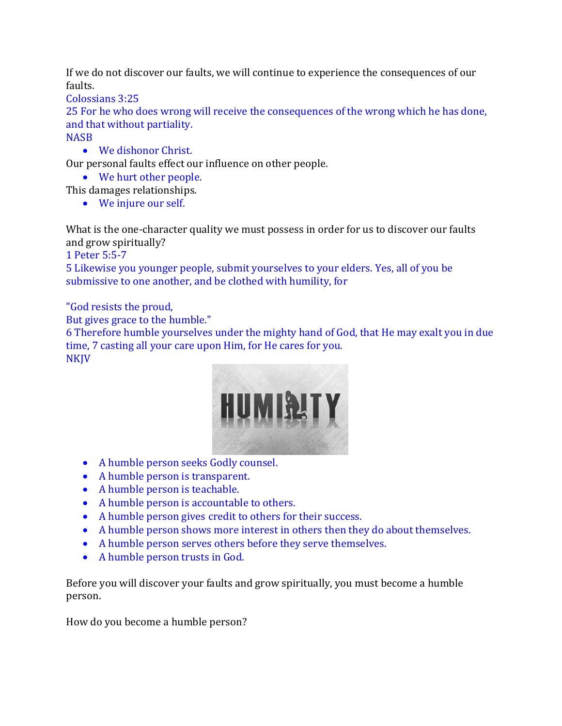If we do not discover our faults, we will continue to experience the consequences of our faults.

Colossians 3:25

25 For he who does wrong will receive the consequences of the wrong which he has done, and that without partiality.

**NASB** 

We dishonor Christ.

Our personal faults effect our influence on other people.

We hurt other people.

This damages relationships.

• We injure our self.

What is the one-character quality we must possess in order for us to discover our faults and grow spiritually?

1 Peter 5:5-7

5 Likewise you younger people, submit yourselves to your elders. Yes, all of you be submissive to one another, and be clothed with humility, for

"God resists the proud,

But gives grace to the humble."

6 Therefore humble yourselves under the mighty hand of God, that He may exalt you in due time, 7 casting all your care upon Him, for He cares for you. NKJV



- A humble person seeks Godly counsel.
- A humble person is transparent.
- A humble person is teachable.
- A humble person is accountable to others.
- A humble person gives credit to others for their success.
- A humble person shows more interest in others then they do about themselves.
- A humble person serves others before they serve themselves.
- A humble person trusts in God.

Before you will discover your faults and grow spiritually, you must become a humble person.

How do you become a humble person?